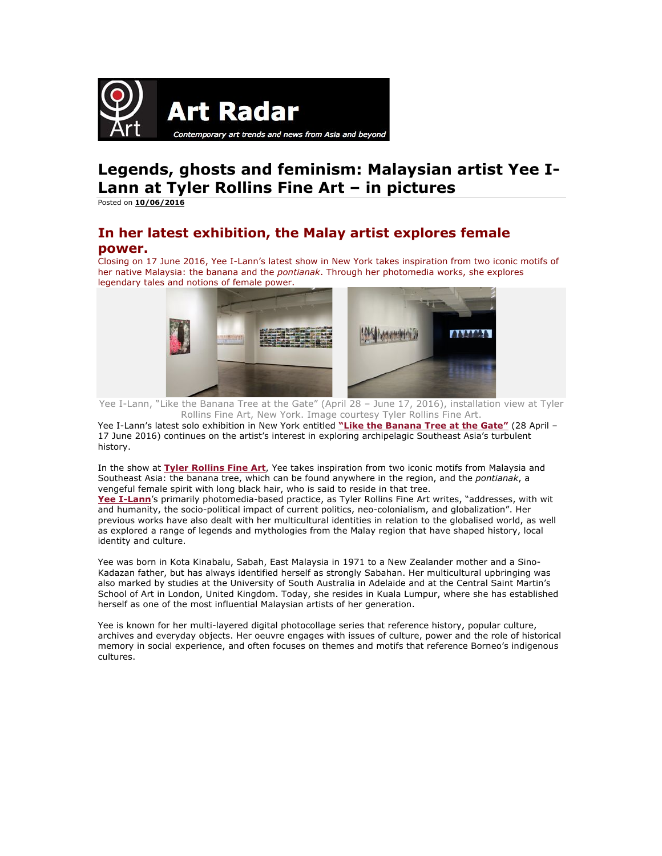

## **Legends, ghosts and feminism: Malaysian artist Yee I-Lann at Tyler Rollins Fine Art – in pictures**

Posted on **10/06/2016**

## **In her latest exhibition, the Malay artist explores female power.**

Closing on 17 June 2016, Yee I-Lann's latest show in New York takes inspiration from two iconic motifs of her native Malaysia: the banana and the *pontianak*. Through her photomedia works, she explores legendary tales and notions of female power.



 Yee I-Lann, "Like the Banana Tree at the Gate" (April 28 – June 17, 2016), installation view at Tyler Rollins Fine Art, New York. Image courtesy Tyler Rollins Fine Art.

Yee I-Lann's latest solo exhibition in New York entitled **"Like the Banana Tree at the Gate"** (28 April – 17 June 2016) continues on the artist's interest in exploring archipelagic Southeast Asia's turbulent history.

In the show at **Tyler Rollins Fine Art**, Yee takes inspiration from two iconic motifs from Malaysia and Southeast Asia: the banana tree, which can be found anywhere in the region, and the *pontianak*, a vengeful female spirit with long black hair, who is said to reside in that tree.

**Yee I-Lann**'s primarily photomedia-based practice, as Tyler Rollins Fine Art writes, "addresses, with wit and humanity, the socio-political impact of current politics, neo-colonialism, and globalization". Her previous works have also dealt with her multicultural identities in relation to the globalised world, as well as explored a range of legends and mythologies from the Malay region that have shaped history, local identity and culture.

Yee was born in Kota Kinabalu, Sabah, East Malaysia in 1971 to a New Zealander mother and a Sino-Kadazan father, but has always identified herself as strongly Sabahan. Her multicultural upbringing was also marked by studies at the University of South Australia in Adelaide and at the Central Saint Martin's School of Art in London, United Kingdom. Today, she resides in Kuala Lumpur, where she has established herself as one of the most influential Malaysian artists of her generation.

Yee is known for her multi-layered digital photocollage series that reference history, popular culture, archives and everyday objects. Her oeuvre engages with issues of culture, power and the role of historical memory in social experience, and often focuses on themes and motifs that reference Borneo's indigenous cultures.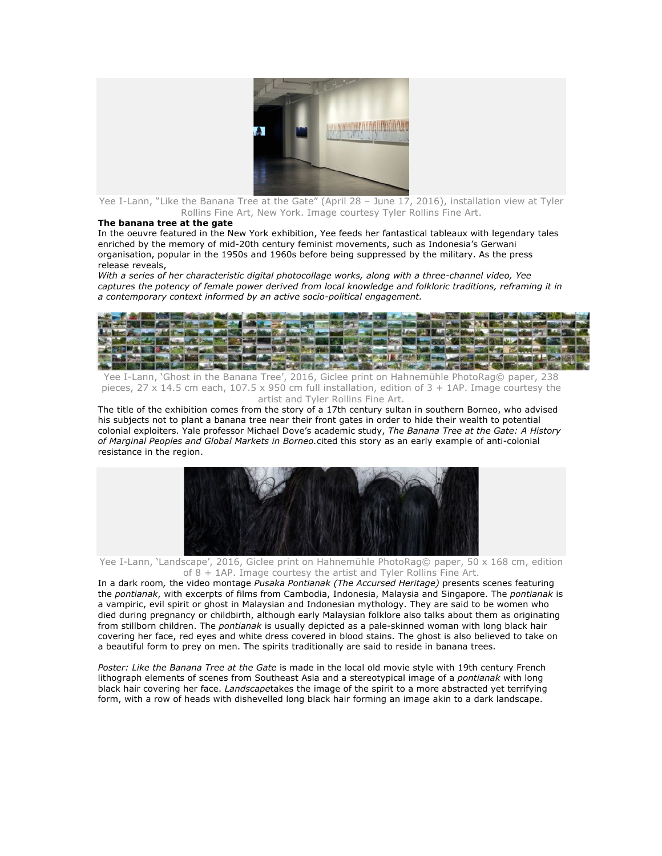

Yee I-Lann, "Like the Banana Tree at the Gate" (April 28 – June 17, 2016), installation view at Tyler Rollins Fine Art, New York. Image courtesy Tyler Rollins Fine Art.

## **The banana tree at the gate**

In the oeuvre featured in the New York exhibition, Yee feeds her fantastical tableaux with legendary tales enriched by the memory of mid-20th century feminist movements, such as Indonesia's Gerwani organisation, popular in the 1950s and 1960s before being suppressed by the military. As the press release reveals,

*With a series of her characteristic digital photocollage works, along with a three-channel video, Yee captures the potency of female power derived from local knowledge and folkloric traditions, reframing it in a contemporary context informed by an active socio-political engagement.*



Yee I-Lann, 'Ghost in the Banana Tree', 2016, Giclee print on Hahnemühle PhotoRag© paper, 238 pieces,  $27 \times 14.5$  cm each,  $107.5 \times 950$  cm full installation, edition of  $3 + 1$ AP. Image courtesy the artist and Tyler Rollins Fine Art.

The title of the exhibition comes from the story of a 17th century sultan in southern Borneo, who advised his subjects not to plant a banana tree near their front gates in order to hide their wealth to potential colonial exploiters. Yale professor Michael Dove's academic study, *The Banana Tree at the Gate: A History of Marginal Peoples and Global Markets in Borneo.*cited this story as an early example of anti-colonial resistance in the region.



Yee I-Lann, 'Landscape', 2016, Giclee print on Hahnemühle PhotoRag© paper, 50 x 168 cm, edition of 8 + 1AP. Image courtesy the artist and Tyler Rollins Fine Art.

In a dark room*,* the video montage *Pusaka Pontianak (The Accursed Heritage)* presents scenes featuring the *pontianak*, with excerpts of films from Cambodia, Indonesia, Malaysia and Singapore. The *pontianak* is a vampiric, evil spirit or ghost in Malaysian and Indonesian mythology. They are said to be women who died during pregnancy or childbirth, although early Malaysian folklore also talks about them as originating from stillborn children. The *pontianak* is usually depicted as a pale-skinned woman with long black hair covering her face, red eyes and white dress covered in blood stains. The ghost is also believed to take on a beautiful form to prey on men. The spirits traditionally are said to reside in banana trees.

*Poster: Like the Banana Tree at the Gate* is made in the local old movie style with 19th century French lithograph elements of scenes from Southeast Asia and a stereotypical image of a *pontianak* with long black hair covering her face. *Landscape*takes the image of the spirit to a more abstracted yet terrifying form, with a row of heads with dishevelled long black hair forming an image akin to a dark landscape.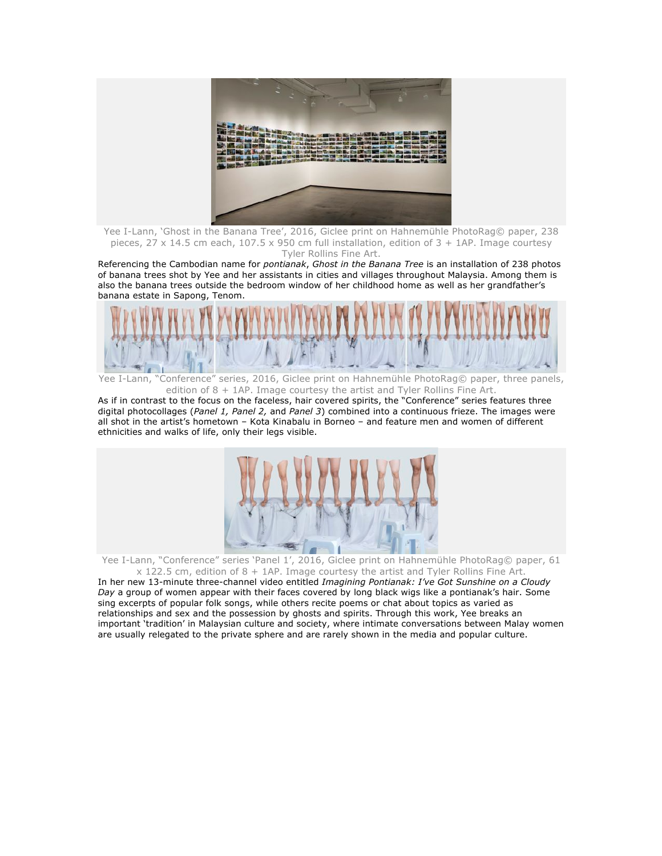

Yee I-Lann, 'Ghost in the Banana Tree', 2016, Giclee print on Hahnemühle PhotoRag© paper, 238 pieces,  $27 \times 14.5$  cm each,  $107.5 \times 950$  cm full installation, edition of  $3 + 1$ AP. Image courtesy Tyler Rollins Fine Art.

Referencing the Cambodian name for *pontianak*, *Ghost in the Banana Tree* is an installation of 238 photos of banana trees shot by Yee and her assistants in cities and villages throughout Malaysia. Among them is also the banana trees outside the bedroom window of her childhood home as well as her grandfather's banana estate in Sapong, Tenom.



Yee I-Lann, "Conference" series, 2016, Giclee print on Hahnemühle PhotoRag© paper, three panels, edition of  $8 + 1$ AP. Image courtesy the artist and Tyler Rollins Fine Art.

As if in contrast to the focus on the faceless, hair covered spirits, the "Conference" series features three digital photocollages (*Panel 1, Panel 2,* and *Panel 3*) combined into a continuous frieze. The images were all shot in the artist's hometown – Kota Kinabalu in Borneo – and feature men and women of different ethnicities and walks of life, only their legs visible.



Yee I-Lann, "Conference" series 'Panel 1', 2016, Giclee print on Hahnemühle PhotoRag© paper, 61  $x$  122.5 cm, edition of 8 + 1AP. Image courtesy the artist and Tyler Rollins Fine Art.

In her new 13-minute three-channel video entitled *Imagining Pontianak: I've Got Sunshine on a Cloudy Day* a group of women appear with their faces covered by long black wigs like a pontianak's hair. Some sing excerpts of popular folk songs, while others recite poems or chat about topics as varied as relationships and sex and the possession by ghosts and spirits. Through this work, Yee breaks an important 'tradition' in Malaysian culture and society, where intimate conversations between Malay women are usually relegated to the private sphere and are rarely shown in the media and popular culture.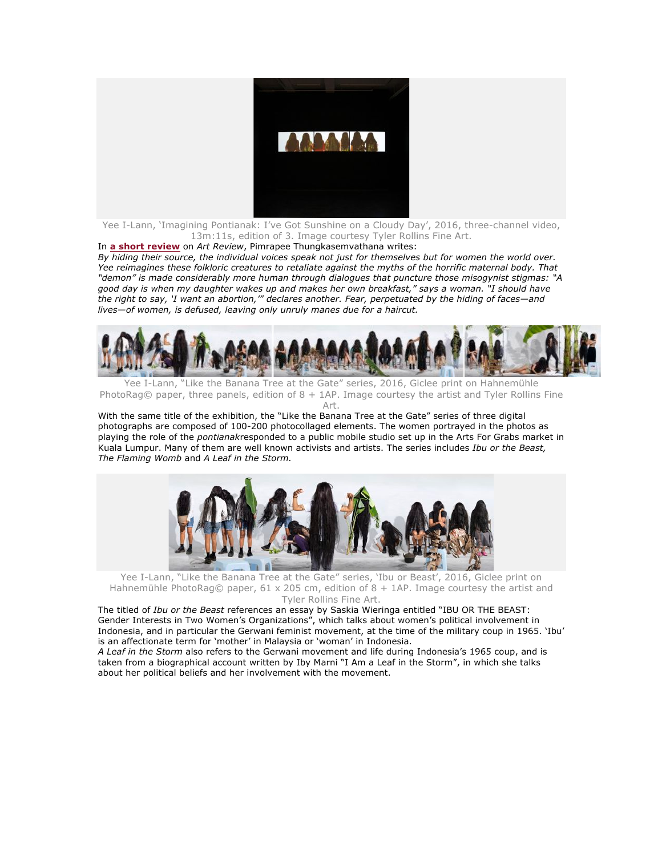

Yee I-Lann, 'Imagining Pontianak: I've Got Sunshine on a Cloudy Day', 2016, three-channel video, 13m:11s, edition of 3. Image courtesy Tyler Rollins Fine Art.

## In **a short review** on *Art Review*, Pimrapee Thungkasemvathana writes:

*By hiding their source, the individual voices speak not just for themselves but for women the world over. Yee reimagines these folkloric creatures to retaliate against the myths of the horrific maternal body. That "demon" is made considerably more human through dialogues that puncture those misogynist stigmas: "A good day is when my daughter wakes up and makes her own breakfast," says a woman. "I should have the right to say, 'I want an abortion,'" declares another. Fear, perpetuated by the hiding of faces—and lives—of women, is defused, leaving only unruly manes due for a haircut.*



Yee I-Lann, "Like the Banana Tree at the Gate" series, 2016, Giclee print on Hahnemühle PhotoRag© paper, three panels, edition of 8 + 1AP. Image courtesy the artist and Tyler Rollins Fine Art.

With the same title of the exhibition, the "Like the Banana Tree at the Gate" series of three digital photographs are composed of 100-200 photocollaged elements. The women portrayed in the photos as playing the role of the *pontianak*responded to a public mobile studio set up in the Arts For Grabs market in Kuala Lumpur. Many of them are well known activists and artists. The series includes *Ibu or the Beast, The Flaming Womb* and *A Leaf in the Storm.*



Yee I-Lann, "Like the Banana Tree at the Gate" series, 'Ibu or Beast', 2016, Giclee print on Hahnemühle PhotoRag© paper, 61 x 205 cm, edition of 8 + 1AP. Image courtesy the artist and Tyler Rollins Fine Art.

The titled of *Ibu or the Beast* references an essay by Saskia Wieringa entitled "IBU OR THE BEAST: Gender Interests in Two Women's Organizations", which talks about women's political involvement in Indonesia, and in particular the Gerwani feminist movement, at the time of the military coup in 1965. 'Ibu' is an affectionate term for 'mother' in Malaysia or 'woman' in Indonesia.

*A Leaf in the Storm* also refers to the Gerwani movement and life during Indonesia's 1965 coup, and is taken from a biographical account written by Iby Marni "I Am a Leaf in the Storm", in which she talks about her political beliefs and her involvement with the movement.